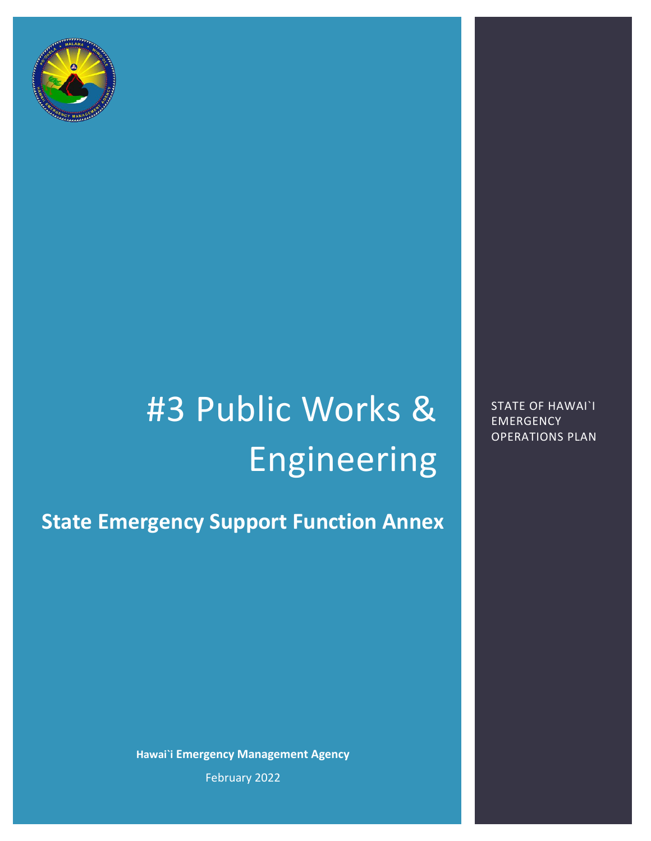

# #3 Public Works & Engineering

**State Emergency Support Function Annex**

**Hawai`i Emergency Management Agency** February 2022

STATE OF HAWAI`I **EMERGENCY** OPERATIONS PLAN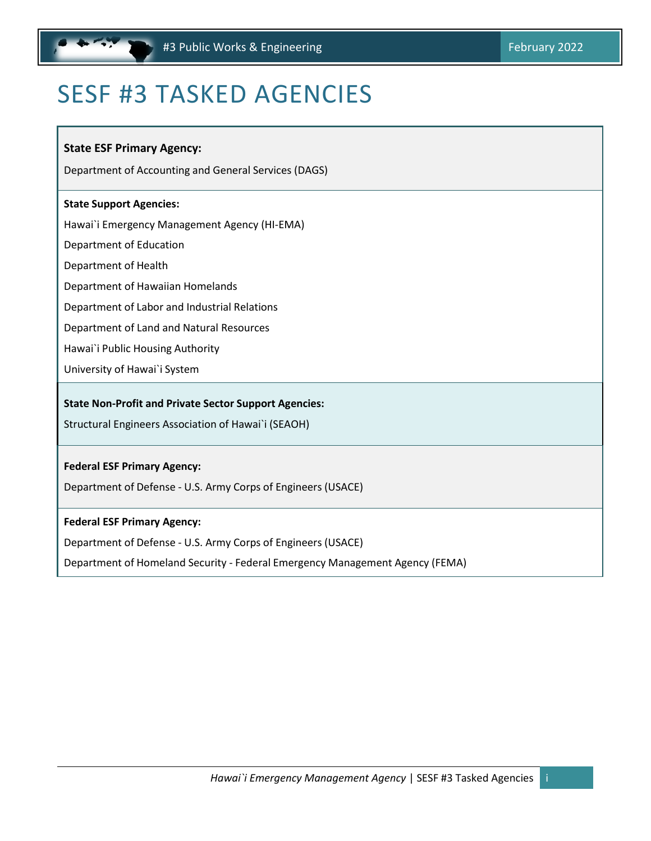# <span id="page-1-0"></span>SESF #3 TASKED AGENCIES

#### **State ESF Primary Agency:**

Department of Accounting and General Services (DAGS)

#### **State Support Agencies:**

Hawai`i Emergency Management Agency (HI‐EMA)

Department of Education

Department of Health

Department of Hawaiian Homelands

Department of Labor and Industrial Relations

Department of Land and Natural Resources

Hawai`i Public Housing Authority

University of Hawai`i System

#### **State Non‐Profit and Private Sector Support Agencies:**

Structural Engineers Association of Hawai`i (SEAOH)

#### **Federal ESF Primary Agency:**

Department of Defense ‐ U.S. Army Corps of Engineers (USACE)

#### **Federal ESF Primary Agency:**

Department of Defense ‐ U.S. Army Corps of Engineers (USACE)

Department of Homeland Security ‐ Federal Emergency Management Agency (FEMA)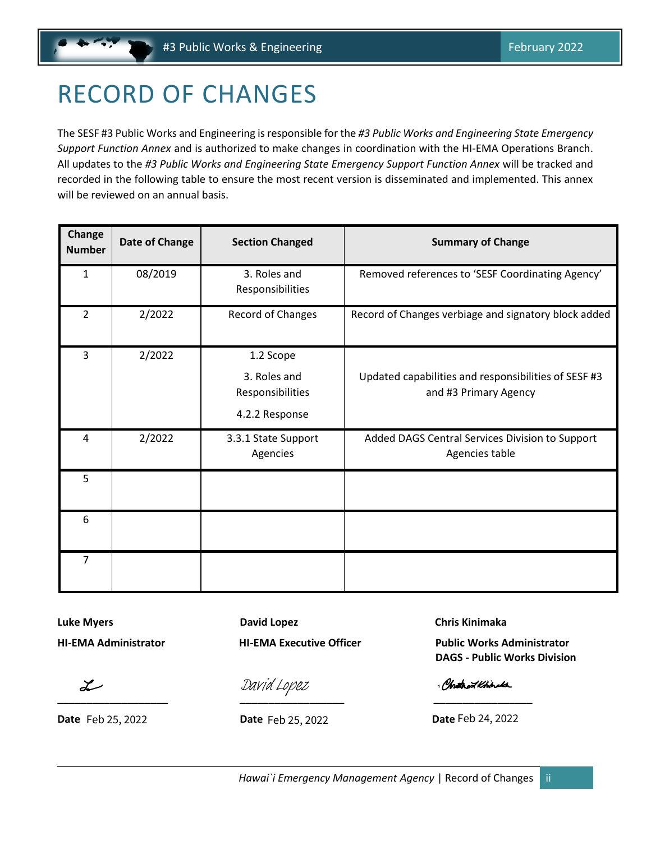# <span id="page-2-0"></span>RECORD OF CHANGES

The SESF #3 Public Works and Engineering is responsible for the *#3 Public Works and Engineering State Emergency Support Function Annex* and is authorized to make changes in coordination with the HI-EMA Operations Branch. All updates to the *#3 Public Works and Engineering State Emergency Support Function Annex* will be tracked and recorded in the following table to ensure the most recent version is disseminated and implemented. This annex will be reviewed on an annual basis.

| Change<br><b>Number</b> | Date of Change | <b>Section Changed</b>                                          | <b>Summary of Change</b>                                                      |
|-------------------------|----------------|-----------------------------------------------------------------|-------------------------------------------------------------------------------|
| 1                       | 08/2019        | 3. Roles and<br>Responsibilities                                | Removed references to 'SESF Coordinating Agency'                              |
| $\overline{2}$          | 2/2022         | Record of Changes                                               | Record of Changes verbiage and signatory block added                          |
| 3                       | 2/2022         | 1.2 Scope<br>3. Roles and<br>Responsibilities<br>4.2.2 Response | Updated capabilities and responsibilities of SESF #3<br>and #3 Primary Agency |
| 4                       | 2/2022         | 3.3.1 State Support<br>Agencies                                 | Added DAGS Central Services Division to Support<br>Agencies table             |
| 5                       |                |                                                                 |                                                                               |
| 6                       |                |                                                                 |                                                                               |
| $\overline{7}$          |                |                                                                 |                                                                               |

**Luke Myers Christian Christian Chris Chris Chris Kinimaka** David Lopez Chris Kinimaka

 $\cal L$ 

**Date** Feb 25, 2022 **Date** Feb 25, 2022 **Date** 

**[\\_\\_\\_\\_\\_\\_\\_\\_\\_\\_\\_\\_\\_\\_\\_\\_\\_\\_\\_](https://stateofhawaii.na1.adobesign.com/verifier?tx=CBJCHBCAABAAqX_z-OjJhP0_vnGs5i9JeaWyWs7HSybx) \_\_\_\_\_\_\_\_\_\_\_\_\_\_\_\_\_\_ [\\_\\_\\_\\_\\_\\_\\_\\_\\_\\_\\_\\_\\_\\_\\_\\_\\_](https://stateofhawaii.na1.adobesign.com/verifier?tx=CBJCHBCAABAAqX_z-OjJhP0_vnGs5i9JeaWyWs7HSybx)**

Feb 24, 2022 [David Lopez](https://stateofhawaii.na1.adobesign.com/verifier?tx=CBJCHBCAABAAqX_z-OjJhP0_vnGs5i9JeaWyWs7HSybx)

**HI-EMA Administrator HI-EMA Executive Officer Public Works Administrator DAGS - Public Works Division**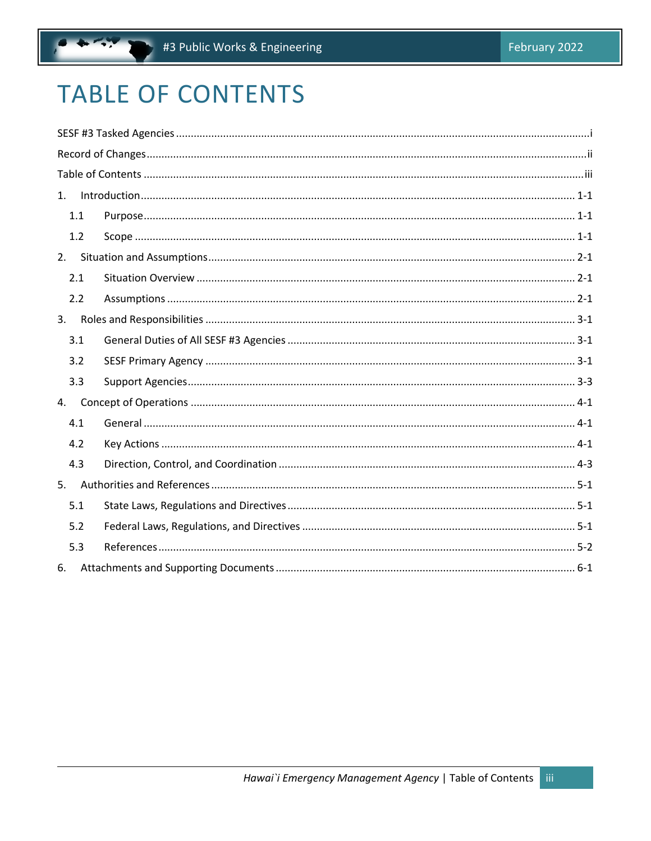# <span id="page-3-0"></span>**TABLE OF CONTENTS**

| 1.  |  |
|-----|--|
| 1.1 |  |
| 1.2 |  |
| 2.  |  |
| 2.1 |  |
| 2.2 |  |
| 3.  |  |
| 3.1 |  |
| 3.2 |  |
| 3.3 |  |
| 4.  |  |
| 4.1 |  |
| 4.2 |  |
| 4.3 |  |
| 5.  |  |
| 5.1 |  |
| 5.2 |  |
| 5.3 |  |
| 6.  |  |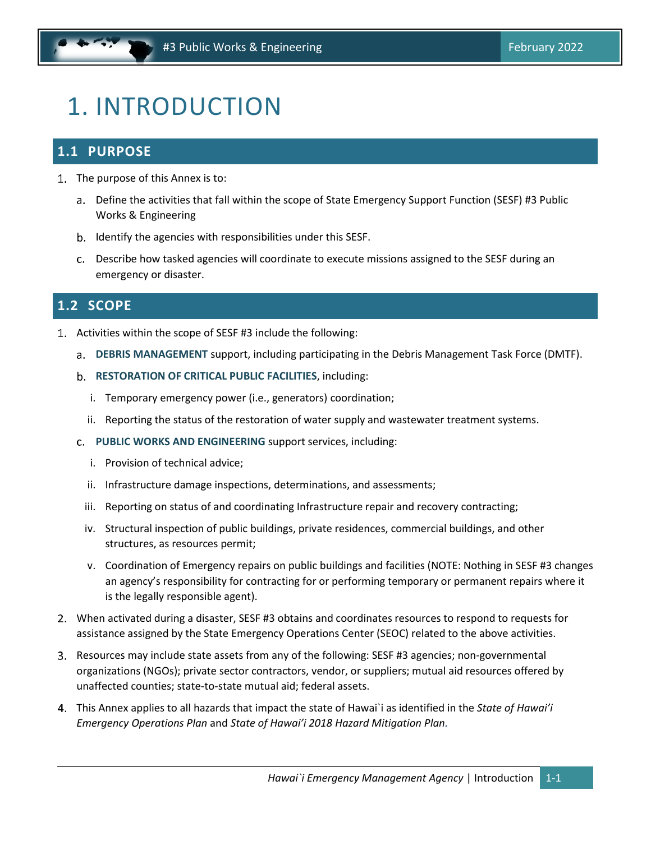# <span id="page-4-0"></span>1. INTRODUCTION

# <span id="page-4-1"></span>**1.1 PURPOSE**

- 1. The purpose of this Annex is to:
	- a. Define the activities that fall within the scope of State Emergency Support Function (SESF) #3 Public Works & Engineering
	- b. Identify the agencies with responsibilities under this SESF.
	- Describe how tasked agencies will coordinate to execute missions assigned to the SESF during an emergency or disaster.

### <span id="page-4-2"></span>**1.2 SCOPE**

- Activities within the scope of SESF #3 include the following:
	- **DEBRIS MANAGEMENT** support, including participating in the Debris Management Task Force (DMTF).
	- **RESTORATION OF CRITICAL PUBLIC FACILITIES**, including:
		- i. Temporary emergency power (i.e., generators) coordination;
		- ii. Reporting the status of the restoration of water supply and wastewater treatment systems.
	- **PUBLIC WORKS AND ENGINEERING** support services, including:
		- i. Provision of technical advice;
		- ii. Infrastructure damage inspections, determinations, and assessments;
		- iii. Reporting on status of and coordinating Infrastructure repair and recovery contracting;
		- iv. Structural inspection of public buildings, private residences, commercial buildings, and other structures, as resources permit;
		- v. Coordination of Emergency repairs on public buildings and facilities (NOTE: Nothing in SESF #3 changes an agency's responsibility for contracting for or performing temporary or permanent repairs where it is the legally responsible agent).
- When activated during a disaster, SESF #3 obtains and coordinates resources to respond to requests for assistance assigned by the State Emergency Operations Center (SEOC) related to the above activities.
- 3. Resources may include state assets from any of the following: SESF #3 agencies; non-governmental organizations (NGOs); private sector contractors, vendor, or suppliers; mutual aid resources offered by unaffected counties; state‐to‐state mutual aid; federal assets.
- This Annex applies to all hazards that impact the state of Hawai`i as identified in the *State of Hawai'i Emergency Operations Plan* and *State of Hawai'i 2018 Hazard Mitigation Plan.*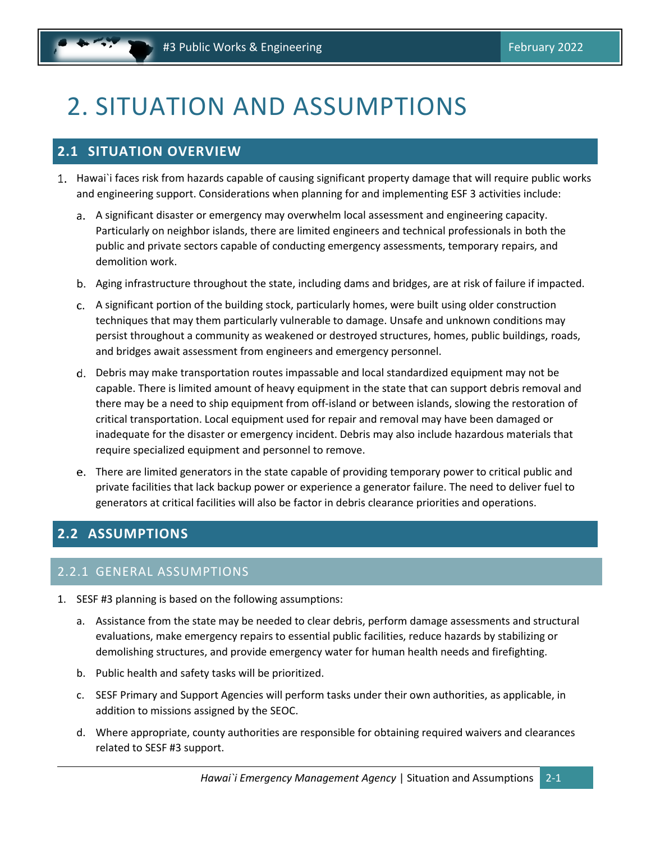# <span id="page-5-0"></span>2. SITUATION AND ASSUMPTIONS

# <span id="page-5-1"></span>**2.1 SITUATION OVERVIEW**

- 1. Hawai`i faces risk from hazards capable of causing significant property damage that will require public works and engineering support. Considerations when planning for and implementing ESF 3 activities include:
	- A significant disaster or emergency may overwhelm local assessment and engineering capacity. Particularly on neighbor islands, there are limited engineers and technical professionals in both the public and private sectors capable of conducting emergency assessments, temporary repairs, and demolition work.
	- Aging infrastructure throughout the state, including dams and bridges, are at risk of failure if impacted.
	- A significant portion of the building stock, particularly homes, were built using older construction techniques that may them particularly vulnerable to damage. Unsafe and unknown conditions may persist throughout a community as weakened or destroyed structures, homes, public buildings, roads, and bridges await assessment from engineers and emergency personnel.
	- Debris may make transportation routes impassable and local standardized equipment may not be capable. There is limited amount of heavy equipment in the state that can support debris removal and there may be a need to ship equipment from off‐island or between islands, slowing the restoration of critical transportation. Local equipment used for repair and removal may have been damaged or inadequate for the disaster or emergency incident. Debris may also include hazardous materials that require specialized equipment and personnel to remove.
	- There are limited generators in the state capable of providing temporary power to critical public and private facilities that lack backup power or experience a generator failure. The need to deliver fuel to generators at critical facilities will also be factor in debris clearance priorities and operations.

# <span id="page-5-2"></span>**2.2 ASSUMPTIONS**

### 2.2.1 GENERAL ASSUMPTIONS

- 1. SESF #3 planning is based on the following assumptions:
	- a. Assistance from the state may be needed to clear debris, perform damage assessments and structural evaluations, make emergency repairs to essential public facilities, reduce hazards by stabilizing or demolishing structures, and provide emergency water for human health needs and firefighting.
	- b. Public health and safety tasks will be prioritized.
	- c. SESF Primary and Support Agencies will perform tasks under their own authorities, as applicable, in addition to missions assigned by the SEOC.
	- d. Where appropriate, county authorities are responsible for obtaining required waivers and clearances related to SESF #3 support.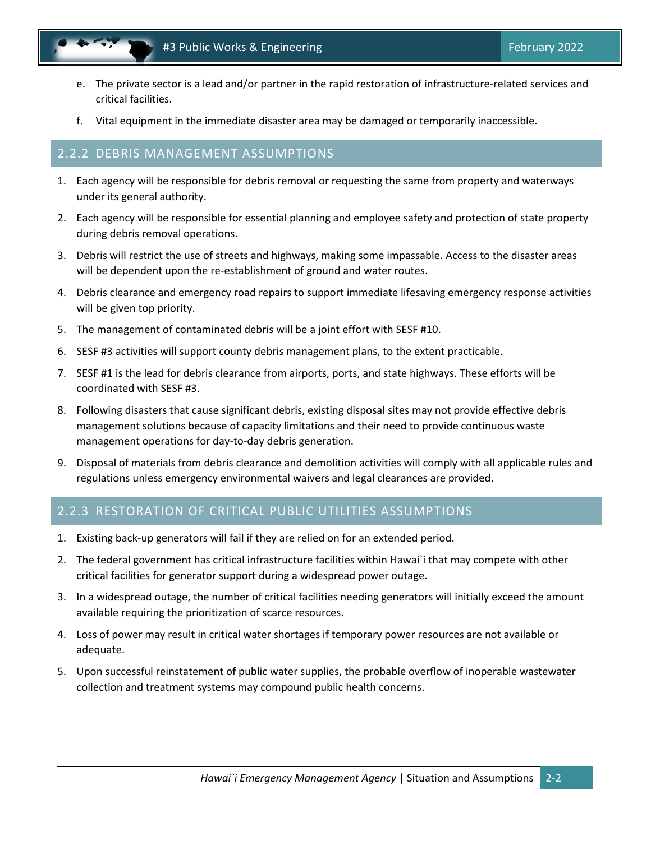- e. The private sector is a lead and/or partner in the rapid restoration of infrastructure‐related services and critical facilities.
- f. Vital equipment in the immediate disaster area may be damaged or temporarily inaccessible.

#### 2.2.2 DEBRIS MANAGEMENT ASSUMPTIONS

- 1. Each agency will be responsible for debris removal or requesting the same from property and waterways under its general authority.
- 2. Each agency will be responsible for essential planning and employee safety and protection of state property during debris removal operations.
- 3. Debris will restrict the use of streets and highways, making some impassable. Access to the disaster areas will be dependent upon the re-establishment of ground and water routes.
- 4. Debris clearance and emergency road repairs to support immediate lifesaving emergency response activities will be given top priority.
- 5. The management of contaminated debris will be a joint effort with SESF #10.
- 6. SESF #3 activities will support county debris management plans, to the extent practicable.
- 7. SESF #1 is the lead for debris clearance from airports, ports, and state highways. These efforts will be coordinated with SESF #3.
- 8. Following disasters that cause significant debris, existing disposal sites may not provide effective debris management solutions because of capacity limitations and their need to provide continuous waste management operations for day‐to‐day debris generation.
- 9. Disposal of materials from debris clearance and demolition activities will comply with all applicable rules and regulations unless emergency environmental waivers and legal clearances are provided.

### 2.2.3 RESTORATION OF CRITICAL PUBLIC UTILITIES ASSUMPTIONS

- 1. Existing back‐up generators will fail if they are relied on for an extended period.
- 2. The federal government has critical infrastructure facilities within Hawai`i that may compete with other critical facilities for generator support during a widespread power outage.
- 3. In a widespread outage, the number of critical facilities needing generators will initially exceed the amount available requiring the prioritization of scarce resources.
- 4. Loss of power may result in critical water shortages if temporary power resources are not available or adequate.
- 5. Upon successful reinstatement of public water supplies, the probable overflow of inoperable wastewater collection and treatment systems may compound public health concerns.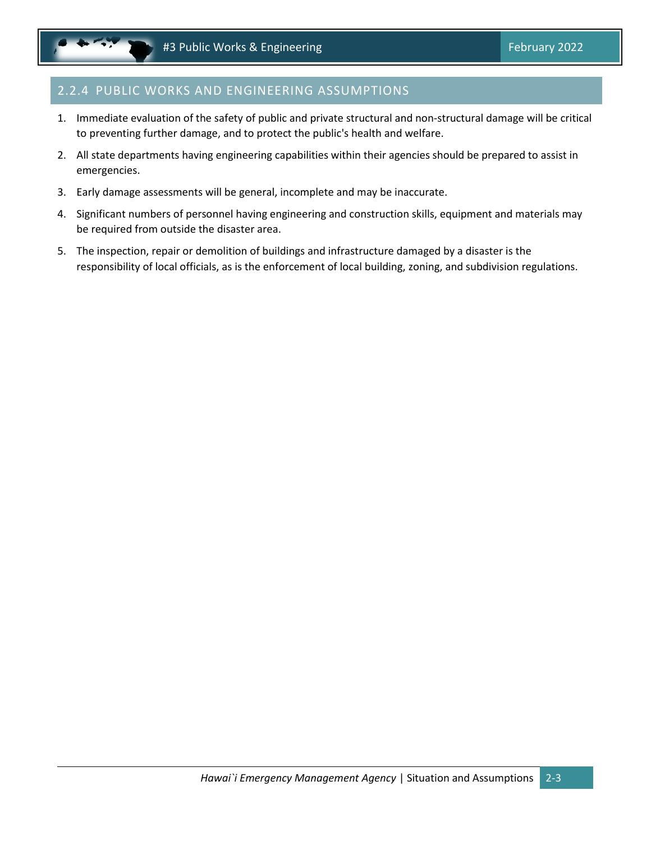### 2.2.4 PUBLIC WORKS AND ENGINEERING ASSUMPTIONS

- 1. Immediate evaluation of the safety of public and private structural and non‐structural damage will be critical to preventing further damage, and to protect the public's health and welfare.
- 2. All state departments having engineering capabilities within their agencies should be prepared to assist in emergencies.
- 3. Early damage assessments will be general, incomplete and may be inaccurate.
- 4. Significant numbers of personnel having engineering and construction skills, equipment and materials may be required from outside the disaster area.
- 5. The inspection, repair or demolition of buildings and infrastructure damaged by a disaster is the responsibility of local officials, as is the enforcement of local building, zoning, and subdivision regulations.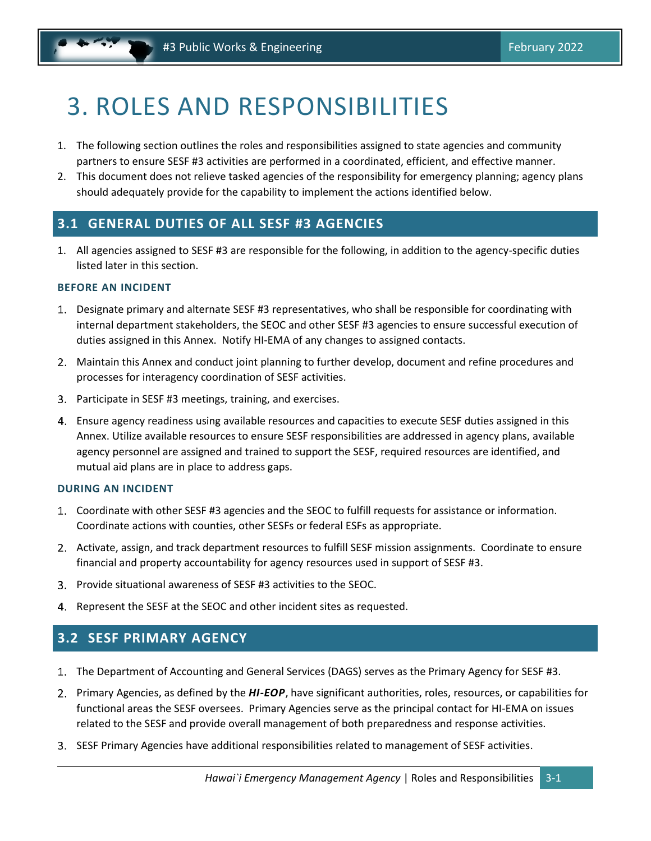# <span id="page-8-0"></span>3. ROLES AND RESPONSIBILITIES

- 1. The following section outlines the roles and responsibilities assigned to state agencies and community partners to ensure SESF #3 activities are performed in a coordinated, efficient, and effective manner.
- 2. This document does not relieve tasked agencies of the responsibility for emergency planning; agency plans should adequately provide for the capability to implement the actions identified below.

### <span id="page-8-1"></span>**3.1 GENERAL DUTIES OF ALL SESF #3 AGENCIES**

1. All agencies assigned to SESF #3 are responsible for the following, in addition to the agency-specific duties listed later in this section.

#### **BEFORE AN INCIDENT**

- Designate primary and alternate SESF #3 representatives, who shall be responsible for coordinating with internal department stakeholders, the SEOC and other SESF #3 agencies to ensure successful execution of duties assigned in this Annex. Notify HI-EMA of any changes to assigned contacts.
- Maintain this Annex and conduct joint planning to further develop, document and refine procedures and processes for interagency coordination of SESF activities.
- Participate in SESF #3 meetings, training, and exercises.
- Ensure agency readiness using available resources and capacities to execute SESF duties assigned in this Annex. Utilize available resources to ensure SESF responsibilities are addressed in agency plans, available agency personnel are assigned and trained to support the SESF, required resources are identified, and mutual aid plans are in place to address gaps.

#### **DURING AN INCIDENT**

- Coordinate with other SESF #3 agencies and the SEOC to fulfill requests for assistance or information. Coordinate actions with counties, other SESFs or federal ESFs as appropriate.
- 2. Activate, assign, and track department resources to fulfill SESF mission assignments. Coordinate to ensure financial and property accountability for agency resources used in support of SESF #3.
- Provide situational awareness of SESF #3 activities to the SEOC.
- 4. Represent the SESF at the SEOC and other incident sites as requested.

# <span id="page-8-2"></span>**3.2 SESF PRIMARY AGENCY**

- The Department of Accounting and General Services (DAGS) serves as the Primary Agency for SESF #3.
- Primary Agencies, as defined by the *HI-EOP*, have significant authorities, roles, resources, or capabilities for functional areas the SESF oversees. Primary Agencies serve as the principal contact for HI-EMA on issues related to the SESF and provide overall management of both preparedness and response activities.
- SESF Primary Agencies have additional responsibilities related to management of SESF activities.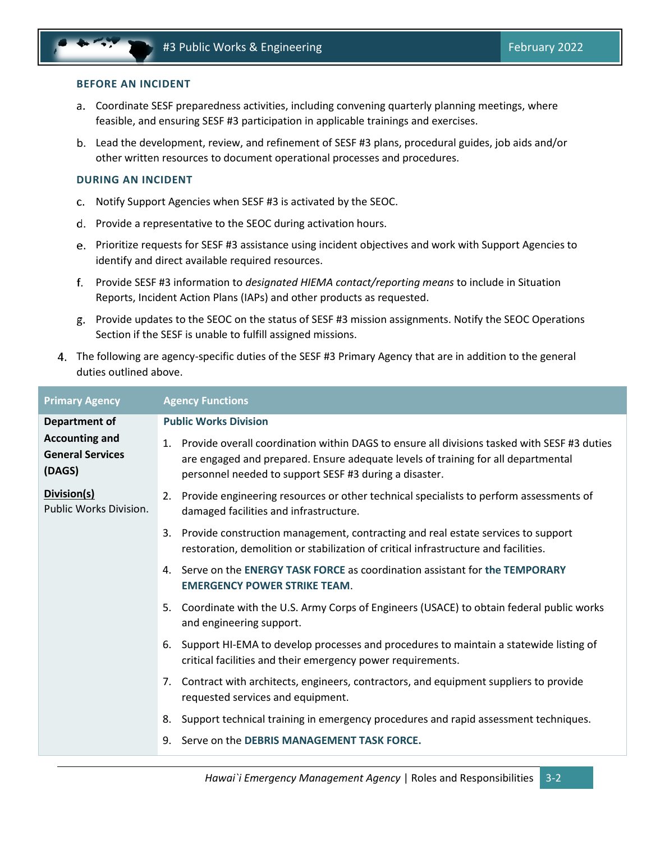#### **BEFORE AN INCIDENT**

- Coordinate SESF preparedness activities, including convening quarterly planning meetings, where feasible, and ensuring SESF #3 participation in applicable trainings and exercises.
- Lead the development, review, and refinement of SESF #3 plans, procedural guides, job aids and/or other written resources to document operational processes and procedures.

#### **DURING AN INCIDENT**

- Notify Support Agencies when SESF #3 is activated by the SEOC.
- d. Provide a representative to the SEOC during activation hours.
- Prioritize requests for SESF #3 assistance using incident objectives and work with Support Agencies to identify and direct available required resources.
- Provide SESF #3 information to *designated HIEMA contact/reporting means* to include in Situation Reports, Incident Action Plans (IAPs) and other products as requested.
- Provide updates to the SEOC on the status of SESF #3 mission assignments. Notify the SEOC Operations Section if the SESF is unable to fulfill assigned missions.
- The following are agency-specific duties of the SESF #3 Primary Agency that are in addition to the general duties outlined above.

| <b>Primary Agency</b>                                      | <b>Agency Functions</b>                                                                                                                                                                                                                                      |  |  |
|------------------------------------------------------------|--------------------------------------------------------------------------------------------------------------------------------------------------------------------------------------------------------------------------------------------------------------|--|--|
| Department of                                              | <b>Public Works Division</b>                                                                                                                                                                                                                                 |  |  |
| <b>Accounting and</b><br><b>General Services</b><br>(DAGS) | Provide overall coordination within DAGS to ensure all divisions tasked with SESF #3 duties<br>$\mathbf{1}$ .<br>are engaged and prepared. Ensure adequate levels of training for all departmental<br>personnel needed to support SESF #3 during a disaster. |  |  |
| Division(s)<br>Public Works Division.                      | Provide engineering resources or other technical specialists to perform assessments of<br>2.<br>damaged facilities and infrastructure.                                                                                                                       |  |  |
|                                                            | Provide construction management, contracting and real estate services to support<br>3.<br>restoration, demolition or stabilization of critical infrastructure and facilities.                                                                                |  |  |
|                                                            | Serve on the ENERGY TASK FORCE as coordination assistant for the TEMPORARY<br>4.<br><b>EMERGENCY POWER STRIKE TEAM.</b>                                                                                                                                      |  |  |
|                                                            | Coordinate with the U.S. Army Corps of Engineers (USACE) to obtain federal public works<br>5.<br>and engineering support.                                                                                                                                    |  |  |
|                                                            | Support HI-EMA to develop processes and procedures to maintain a statewide listing of<br>6.<br>critical facilities and their emergency power requirements.                                                                                                   |  |  |
|                                                            | Contract with architects, engineers, contractors, and equipment suppliers to provide<br>7.<br>requested services and equipment.                                                                                                                              |  |  |
|                                                            | Support technical training in emergency procedures and rapid assessment techniques.<br>8.                                                                                                                                                                    |  |  |
|                                                            | Serve on the DEBRIS MANAGEMENT TASK FORCE.<br>9.                                                                                                                                                                                                             |  |  |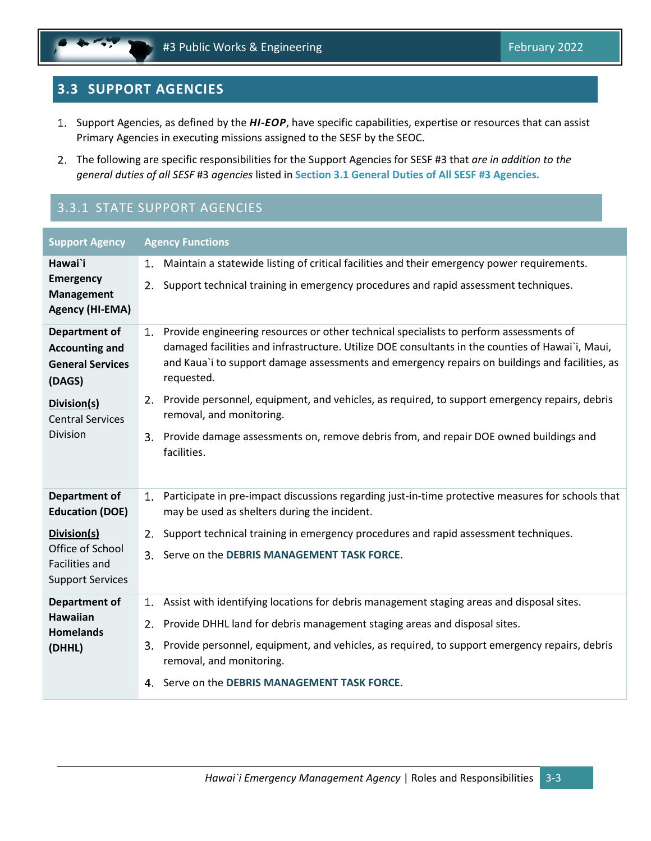# <span id="page-10-0"></span>**3.3 SUPPORT AGENCIES**

- 1. Support Agencies, as defined by the *HI-EOP*, have specific capabilities, expertise or resources that can assist Primary Agencies in executing missions assigned to the SESF by the SEOC.
- The following are specific responsibilities for the Support Agencies for SESF #3 that *are in addition to the general duties of all SESF* #3 *agencies* listed in **Section [3.1](#page-8-1) [General Duties of All SESF #3](#page-8-1) Agencies.**

# 3.3.1 STATE SUPPORT AGENCIES

| <b>Support Agency</b>                                      | <b>Agency Functions</b>                                                                                                                                                                       |  |
|------------------------------------------------------------|-----------------------------------------------------------------------------------------------------------------------------------------------------------------------------------------------|--|
| Hawai`i                                                    | Maintain a statewide listing of critical facilities and their emergency power requirements.<br>1.                                                                                             |  |
| <b>Emergency</b><br><b>Management</b><br>Agency (HI-EMA)   | Support technical training in emergency procedures and rapid assessment techniques.<br>2.                                                                                                     |  |
| Department of                                              | 1. Provide engineering resources or other technical specialists to perform assessments of<br>damaged facilities and infrastructure. Utilize DOE consultants in the counties of Hawai`i, Maui, |  |
| <b>Accounting and</b><br><b>General Services</b><br>(DAGS) | and Kaua'i to support damage assessments and emergency repairs on buildings and facilities, as<br>requested.                                                                                  |  |
| Division(s)<br><b>Central Services</b>                     | 2. Provide personnel, equipment, and vehicles, as required, to support emergency repairs, debris<br>removal, and monitoring.                                                                  |  |
| Division                                                   | 3. Provide damage assessments on, remove debris from, and repair DOE owned buildings and<br>facilities.                                                                                       |  |
| Department of<br><b>Education (DOE)</b>                    | 1. Participate in pre-impact discussions regarding just-in-time protective measures for schools that<br>may be used as shelters during the incident.                                          |  |
| Division(s)                                                | Support technical training in emergency procedures and rapid assessment techniques.<br>2.                                                                                                     |  |
| Office of School<br><b>Facilities and</b>                  | Serve on the DEBRIS MANAGEMENT TASK FORCE.<br>3.                                                                                                                                              |  |
| <b>Support Services</b>                                    |                                                                                                                                                                                               |  |
| Department of                                              | Assist with identifying locations for debris management staging areas and disposal sites.<br>1.                                                                                               |  |
| <b>Hawaiian</b><br><b>Homelands</b>                        | Provide DHHL land for debris management staging areas and disposal sites.<br>2.                                                                                                               |  |
| (DHHL)                                                     | 3. Provide personnel, equipment, and vehicles, as required, to support emergency repairs, debris<br>removal, and monitoring.                                                                  |  |
|                                                            | 4. Serve on the DEBRIS MANAGEMENT TASK FORCE.                                                                                                                                                 |  |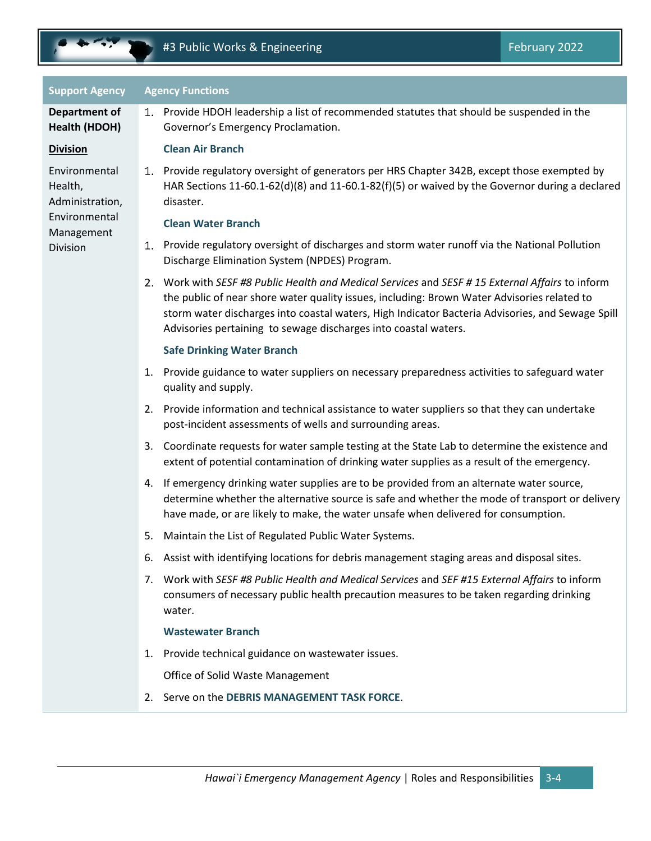

Environmental

Administration, Environmental Management Division

Health,

| <b>Support Agency</b> | <b>Agency Functions</b>                      |
|-----------------------|----------------------------------------------|
| Department of         | Provide HDOH leadership a list of reco<br>1. |
| Health (HDOH)         | Governor's Emergency Proclamation.           |
| <b>Division</b>       | <b>Clean Air Branch</b>                      |

#### nch

Provide regulatory oversight of generators per HRS Chapter 342B, except those exempted by HAR Sections 11-60.1-62(d)(8) and 11-60.1-82(f)(5) or waived by the Governor during a declared disaster.

leadership a list of recommended statutes that should be suspended in the

#### **Clean Water Branch**

- 1. Provide regulatory oversight of discharges and storm water runoff via the National Pollution Discharge Elimination System (NPDES) Program.
- Work with *SESF #8 Public Health and Medical Services* and *SESF # 15 External Affairs* to inform the public of near shore water quality issues, including: Brown Water Advisories related to storm water discharges into coastal waters, High Indicator Bacteria Advisories, and Sewage Spill Advisories pertaining to sewage discharges into coastal waters.

#### **Safe Drinking Water Branch**

- 1. Provide guidance to water suppliers on necessary preparedness activities to safeguard water quality and supply.
- 2. Provide information and technical assistance to water suppliers so that they can undertake post-incident assessments of wells and surrounding areas.
- 3. Coordinate requests for water sample testing at the State Lab to determine the existence and extent of potential contamination of drinking water supplies as a result of the emergency.
- 4. If emergency drinking water supplies are to be provided from an alternate water source, determine whether the alternative source is safe and whether the mode of transport or delivery have made, or are likely to make, the water unsafe when delivered for consumption.
- 5. Maintain the List of Regulated Public Water Systems.
- 6. Assist with identifying locations for debris management staging areas and disposal sites.
- 7. Work with *SESF #8 Public Health and Medical Services* and *SEF #15 External Affairs* to inform consumers of necessary public health precaution measures to be taken regarding drinking water.

#### **Wastewater Branch**

1. Provide technical guidance on wastewater issues.

Office of Solid Waste Management

2. Serve on the **DEBRIS MANAGEMENT TASK FORCE**.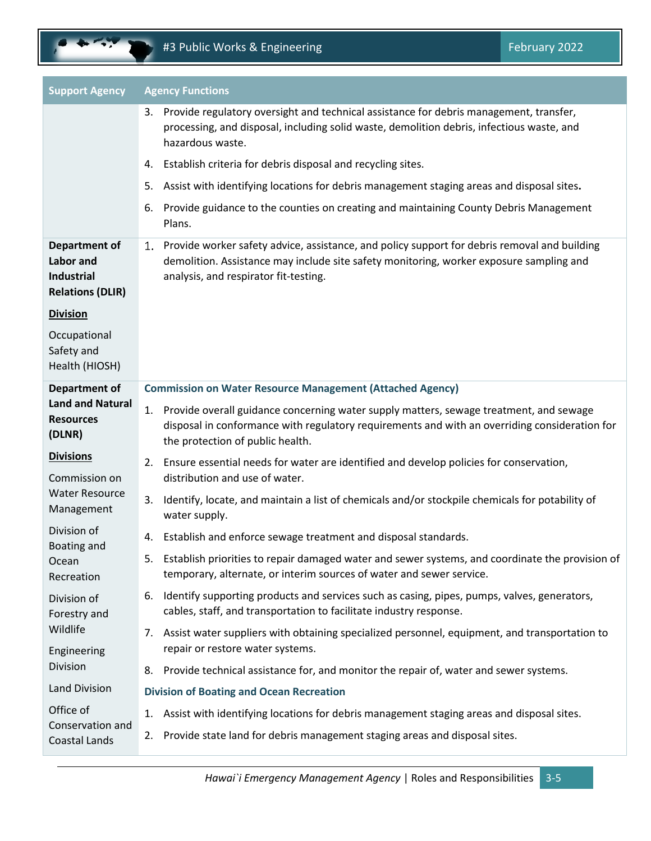| <b>Support Agency</b>                                                                    | <b>Agency Functions</b>                                                                                                                                                                                                             |  |  |
|------------------------------------------------------------------------------------------|-------------------------------------------------------------------------------------------------------------------------------------------------------------------------------------------------------------------------------------|--|--|
|                                                                                          | 3. Provide regulatory oversight and technical assistance for debris management, transfer,<br>processing, and disposal, including solid waste, demolition debris, infectious waste, and<br>hazardous waste.                          |  |  |
|                                                                                          | 4. Establish criteria for debris disposal and recycling sites.                                                                                                                                                                      |  |  |
|                                                                                          | Assist with identifying locations for debris management staging areas and disposal sites.<br>5.                                                                                                                                     |  |  |
|                                                                                          | Provide guidance to the counties on creating and maintaining County Debris Management<br>6.<br>Plans.                                                                                                                               |  |  |
| <b>Department of</b><br><b>Labor</b> and<br><b>Industrial</b><br><b>Relations (DLIR)</b> | 1. Provide worker safety advice, assistance, and policy support for debris removal and building<br>demolition. Assistance may include site safety monitoring, worker exposure sampling and<br>analysis, and respirator fit-testing. |  |  |
| <b>Division</b>                                                                          |                                                                                                                                                                                                                                     |  |  |
| Occupational<br>Safety and<br>Health (HIOSH)                                             |                                                                                                                                                                                                                                     |  |  |
| <b>Department of</b>                                                                     | <b>Commission on Water Resource Management (Attached Agency)</b>                                                                                                                                                                    |  |  |
| <b>Land and Natural</b><br><b>Resources</b><br>(DLNR)                                    | Provide overall guidance concerning water supply matters, sewage treatment, and sewage<br>1.<br>disposal in conformance with regulatory requirements and with an overriding consideration for<br>the protection of public health.   |  |  |
| <b>Divisions</b><br>Commission on                                                        | 2. Ensure essential needs for water are identified and develop policies for conservation,<br>distribution and use of water.                                                                                                         |  |  |
| <b>Water Resource</b><br>Management                                                      | Identify, locate, and maintain a list of chemicals and/or stockpile chemicals for potability of<br>3.<br>water supply.                                                                                                              |  |  |
| Division of<br><b>Boating and</b>                                                        | Establish and enforce sewage treatment and disposal standards.<br>4.                                                                                                                                                                |  |  |
| Ocean<br>Recreation                                                                      | 5. Establish priorities to repair damaged water and sewer systems, and coordinate the provision of<br>temporary, alternate, or interim sources of water and sewer service.                                                          |  |  |
| Division of<br>Forestry and                                                              | Identify supporting products and services such as casing, pipes, pumps, valves, generators,<br>6.<br>cables, staff, and transportation to facilitate industry response.                                                             |  |  |
| Wildlife<br>Engineering                                                                  | 7. Assist water suppliers with obtaining specialized personnel, equipment, and transportation to<br>repair or restore water systems.                                                                                                |  |  |
| Division                                                                                 | 8. Provide technical assistance for, and monitor the repair of, water and sewer systems.                                                                                                                                            |  |  |
| <b>Land Division</b>                                                                     | <b>Division of Boating and Ocean Recreation</b>                                                                                                                                                                                     |  |  |
| Office of                                                                                | Assist with identifying locations for debris management staging areas and disposal sites.<br>1.                                                                                                                                     |  |  |
| Conservation and<br>Coastal Lands                                                        | Provide state land for debris management staging areas and disposal sites.<br>2.                                                                                                                                                    |  |  |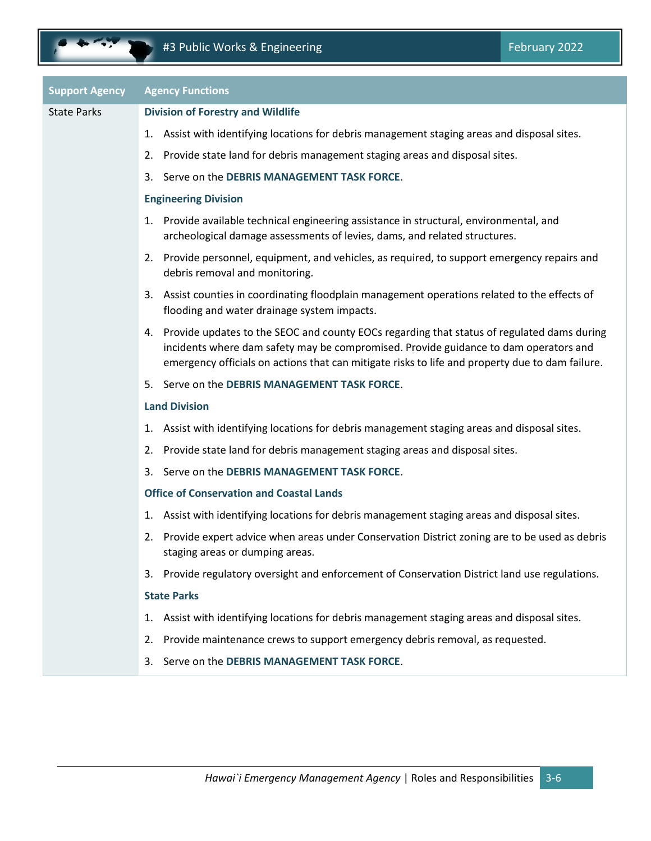| <b>Support Agency</b> | <b>Agency Functions</b>                                                                                                                                                                                                                                                                  |
|-----------------------|------------------------------------------------------------------------------------------------------------------------------------------------------------------------------------------------------------------------------------------------------------------------------------------|
| <b>State Parks</b>    | <b>Division of Forestry and Wildlife</b>                                                                                                                                                                                                                                                 |
|                       | 1. Assist with identifying locations for debris management staging areas and disposal sites.                                                                                                                                                                                             |
|                       | Provide state land for debris management staging areas and disposal sites.<br>2.                                                                                                                                                                                                         |
|                       | Serve on the DEBRIS MANAGEMENT TASK FORCE.<br>3.                                                                                                                                                                                                                                         |
|                       | <b>Engineering Division</b>                                                                                                                                                                                                                                                              |
|                       | 1. Provide available technical engineering assistance in structural, environmental, and<br>archeological damage assessments of levies, dams, and related structures.                                                                                                                     |
|                       | 2. Provide personnel, equipment, and vehicles, as required, to support emergency repairs and<br>debris removal and monitoring.                                                                                                                                                           |
|                       | 3. Assist counties in coordinating floodplain management operations related to the effects of<br>flooding and water drainage system impacts.                                                                                                                                             |
|                       | 4. Provide updates to the SEOC and county EOCs regarding that status of regulated dams during<br>incidents where dam safety may be compromised. Provide guidance to dam operators and<br>emergency officials on actions that can mitigate risks to life and property due to dam failure. |
|                       | 5. Serve on the DEBRIS MANAGEMENT TASK FORCE.                                                                                                                                                                                                                                            |
|                       | <b>Land Division</b>                                                                                                                                                                                                                                                                     |
|                       | Assist with identifying locations for debris management staging areas and disposal sites.<br>1.                                                                                                                                                                                          |
|                       | 2. Provide state land for debris management staging areas and disposal sites.                                                                                                                                                                                                            |
|                       | Serve on the DEBRIS MANAGEMENT TASK FORCE.<br>3.                                                                                                                                                                                                                                         |
|                       | <b>Office of Conservation and Coastal Lands</b>                                                                                                                                                                                                                                          |
|                       | Assist with identifying locations for debris management staging areas and disposal sites.<br>1.                                                                                                                                                                                          |
|                       | Provide expert advice when areas under Conservation District zoning are to be used as debris<br>2.<br>staging areas or dumping areas.                                                                                                                                                    |
|                       | 3. Provide regulatory oversight and enforcement of Conservation District land use regulations.                                                                                                                                                                                           |
|                       | <b>State Parks</b>                                                                                                                                                                                                                                                                       |
|                       | 1. Assist with identifying locations for debris management staging areas and disposal sites.                                                                                                                                                                                             |
|                       | 2. Provide maintenance crews to support emergency debris removal, as requested.                                                                                                                                                                                                          |
|                       | Serve on the DEBRIS MANAGEMENT TASK FORCE.<br>3.                                                                                                                                                                                                                                         |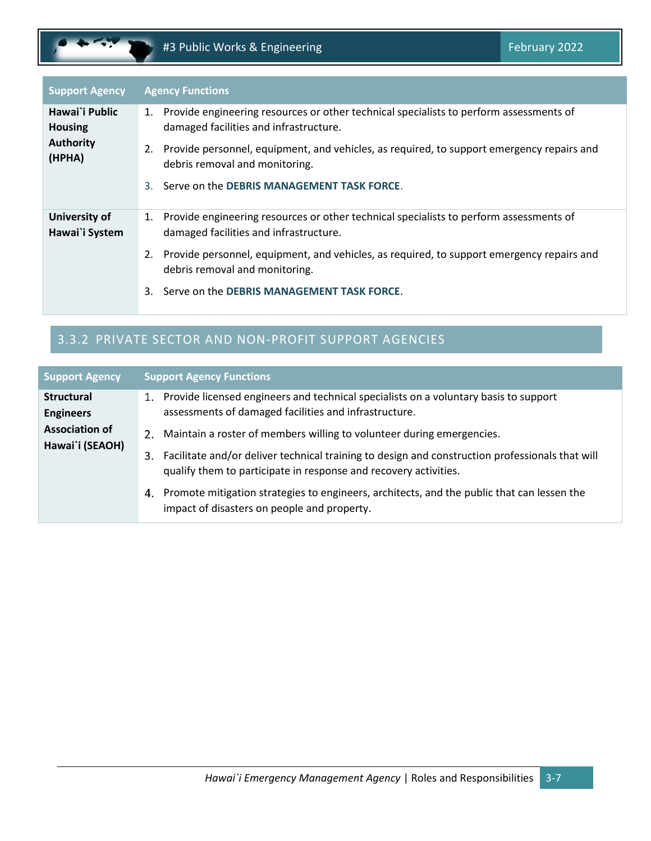| <b>Support Agency</b>            | <b>Agency Functions</b>                                                                                                             |
|----------------------------------|-------------------------------------------------------------------------------------------------------------------------------------|
| Hawai`i Public<br><b>Housing</b> | 1. Provide engineering resources or other technical specialists to perform assessments of<br>damaged facilities and infrastructure. |
| <b>Authority</b><br>(HPHA)       | 2. Provide personnel, equipment, and vehicles, as required, to support emergency repairs and<br>debris removal and monitoring.      |
|                                  | Serve on the DEBRIS MANAGEMENT TASK FORCE.<br>3.                                                                                    |
| University of<br>Hawai`i System  | 1. Provide engineering resources or other technical specialists to perform assessments of<br>damaged facilities and infrastructure. |
|                                  | 2. Provide personnel, equipment, and vehicles, as required, to support emergency repairs and<br>debris removal and monitoring.      |
|                                  | 3. Serve on the DEBRIS MANAGEMENT TASK FORCE.                                                                                       |

# 3.3.2 PRIVATE SECTOR AND NON-PROFIT SUPPORT AGENCIES

| <b>Support Agency</b>                    | <b>Support Agency Functions</b>                                                                                                                                                                                                                          |
|------------------------------------------|----------------------------------------------------------------------------------------------------------------------------------------------------------------------------------------------------------------------------------------------------------|
| <b>Structural</b><br><b>Engineers</b>    | Provide licensed engineers and technical specialists on a voluntary basis to support<br>1.<br>assessments of damaged facilities and infrastructure.                                                                                                      |
| <b>Association of</b><br>Hawai`i (SEAOH) | Maintain a roster of members willing to volunteer during emergencies.<br>2.<br>Facilitate and/or deliver technical training to design and construction professionals that will<br>З.<br>qualify them to participate in response and recovery activities. |
|                                          | Promote mitigation strategies to engineers, architects, and the public that can lessen the<br>4.<br>impact of disasters on people and property.                                                                                                          |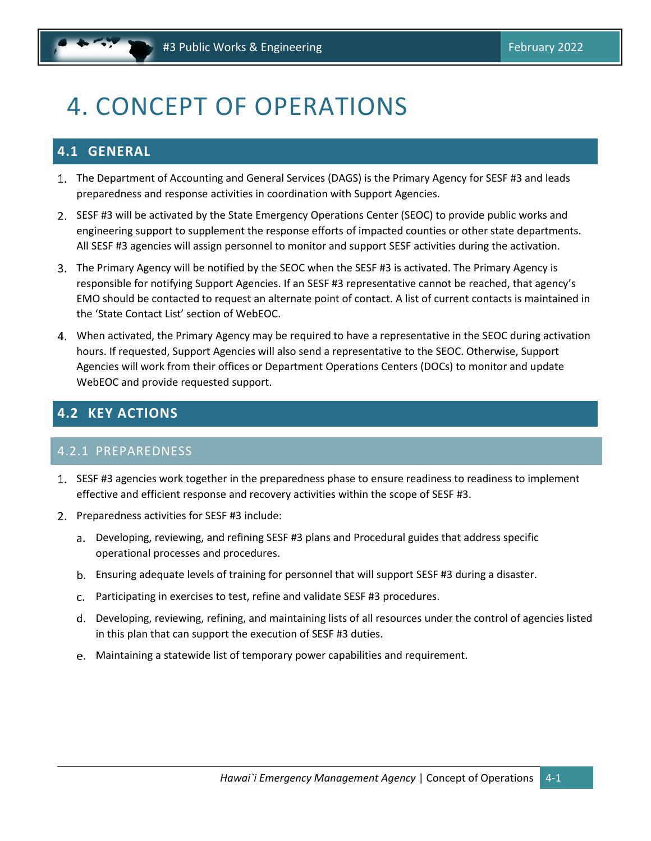# <span id="page-15-0"></span>4. CONCEPT OF OPERATIONS

# <span id="page-15-1"></span>**4.1 GENERAL**

- The Department of Accounting and General Services (DAGS) is the Primary Agency for SESF #3 and leads preparedness and response activities in coordination with Support Agencies.
- 2. SESF #3 will be activated by the State Emergency Operations Center (SEOC) to provide public works and engineering support to supplement the response efforts of impacted counties or other state departments. All SESF #3 agencies will assign personnel to monitor and support SESF activities during the activation.
- The Primary Agency will be notified by the SEOC when the SESF #3 is activated. The Primary Agency is responsible for notifying Support Agencies. If an SESF #3 representative cannot be reached, that agency's EMO should be contacted to request an alternate point of contact. A list of current contacts is maintained in the 'State Contact List' section of WebEOC.
- When activated, the Primary Agency may be required to have a representative in the SEOC during activation hours. If requested, Support Agencies will also send a representative to the SEOC. Otherwise, Support Agencies will work from their offices or Department Operations Centers (DOCs) to monitor and update WebEOC and provide requested support.

# <span id="page-15-2"></span>**4.2 KEY ACTIONS**

#### 4.2.1 PREPAREDNESS

- 1. SESF #3 agencies work together in the preparedness phase to ensure readiness to readiness to implement effective and efficient response and recovery activities within the scope of SESF #3.
- 2. Preparedness activities for SESF #3 include:
	- Developing, reviewing, and refining SESF #3 plans and Procedural guides that address specific operational processes and procedures.
	- Ensuring adequate levels of training for personnel that will support SESF #3 during a disaster.
	- Participating in exercises to test, refine and validate SESF #3 procedures.
	- Developing, reviewing, refining, and maintaining lists of all resources under the control of agencies listed in this plan that can support the execution of SESF #3 duties.
	- Maintaining a statewide list of temporary power capabilities and requirement.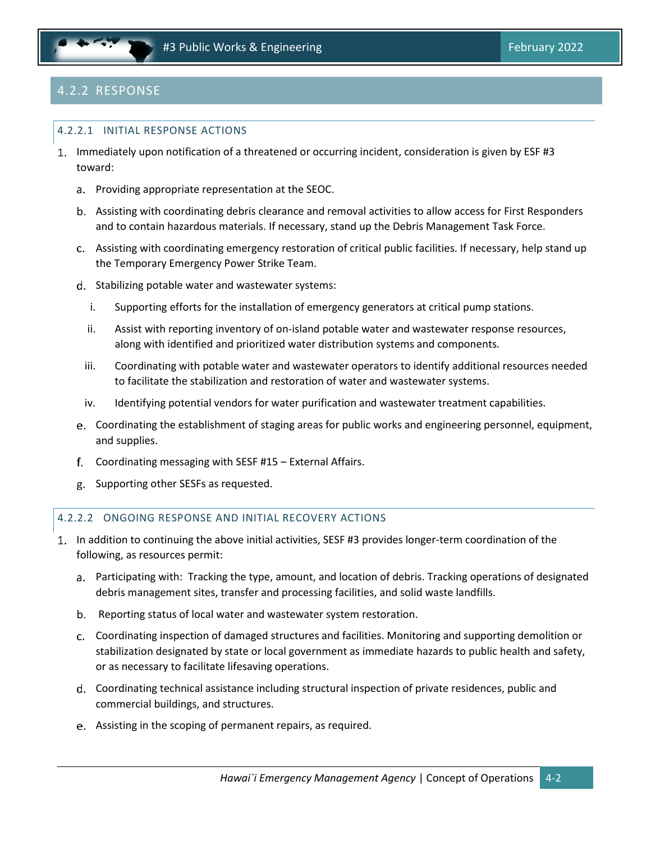# 4.2.2 RESPONSE

#### 4.2.2.1 INITIAL RESPONSE ACTIONS

- 1. Immediately upon notification of a threatened or occurring incident, consideration is given by ESF #3 toward:
	- a. Providing appropriate representation at the SEOC.
	- Assisting with coordinating debris clearance and removal activities to allow access for First Responders and to contain hazardous materials. If necessary, stand up the Debris Management Task Force.
	- Assisting with coordinating emergency restoration of critical public facilities. If necessary, help stand up the Temporary Emergency Power Strike Team.
	- d. Stabilizing potable water and wastewater systems:
		- i. Supporting efforts for the installation of emergency generators at critical pump stations.
		- ii. Assist with reporting inventory of on‐island potable water and wastewater response resources, along with identified and prioritized water distribution systems and components.
		- iii. Coordinating with potable water and wastewater operators to identify additional resources needed to facilitate the stabilization and restoration of water and wastewater systems.
		- iv. Identifying potential vendors for water purification and wastewater treatment capabilities.
	- Coordinating the establishment of staging areas for public works and engineering personnel, equipment, and supplies.
	- Coordinating messaging with SESF #15 External Affairs.
	- g. Supporting other SESFs as requested.

#### 4.2.2.2 ONGOING RESPONSE AND INITIAL RECOVERY ACTIONS

- 1. In addition to continuing the above initial activities, SESF #3 provides longer-term coordination of the following, as resources permit:
	- Participating with: Tracking the type, amount, and location of debris. Tracking operations of designated debris management sites, transfer and processing facilities, and solid waste landfills.
	- b. Reporting status of local water and wastewater system restoration.
	- Coordinating inspection of damaged structures and facilities. Monitoring and supporting demolition or stabilization designated by state or local government as immediate hazards to public health and safety, or as necessary to facilitate lifesaving operations.
	- Coordinating technical assistance including structural inspection of private residences, public and commercial buildings, and structures.
	- Assisting in the scoping of permanent repairs, as required.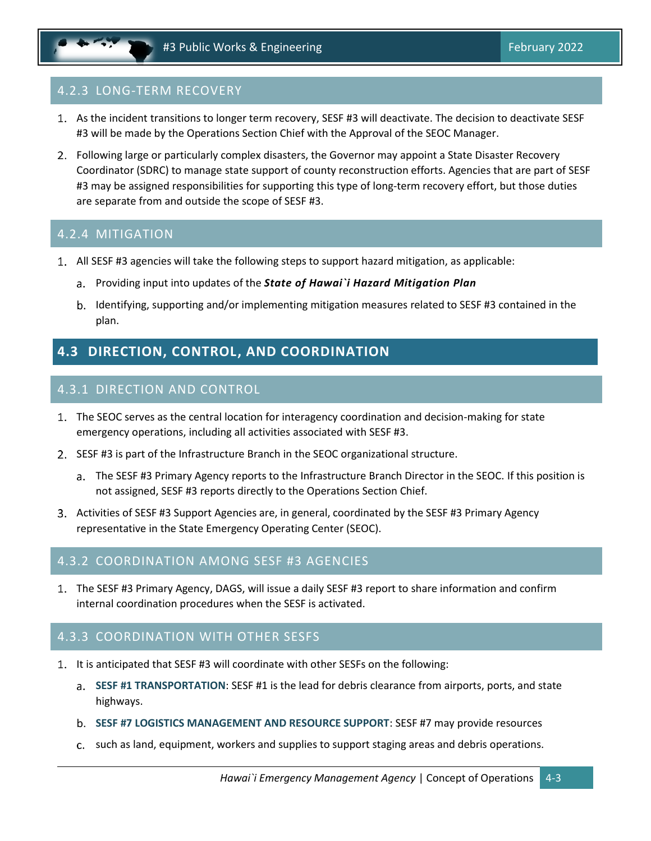### 4.2.3 LONG-TERM RECOVERY

- As the incident transitions to longer term recovery, SESF #3 will deactivate. The decision to deactivate SESF #3 will be made by the Operations Section Chief with the Approval of the SEOC Manager.
- Following large or particularly complex disasters, the Governor may appoint a State Disaster Recovery Coordinator (SDRC) to manage state support of county reconstruction efforts. Agencies that are part of SESF #3 may be assigned responsibilities for supporting this type of long-term recovery effort, but those duties are separate from and outside the scope of SESF #3.

#### 4.2.4 MITIGATION

- All SESF #3 agencies will take the following steps to support hazard mitigation, as applicable:
	- Providing input into updates of the *State of Hawai`i Hazard Mitigation Plan*
	- b. Identifying, supporting and/or implementing mitigation measures related to SESF #3 contained in the plan.

# <span id="page-17-0"></span>**4.3 DIRECTION, CONTROL, AND COORDINATION**

#### 4.3.1 DIRECTION AND CONTROL

- The SEOC serves as the central location for interagency coordination and decision-making for state emergency operations, including all activities associated with SESF #3.
- 2. SESF #3 is part of the Infrastructure Branch in the SEOC organizational structure.
	- The SESF #3 Primary Agency reports to the Infrastructure Branch Director in the SEOC. If this position is not assigned, SESF #3 reports directly to the Operations Section Chief.
- 3. Activities of SESF #3 Support Agencies are, in general, coordinated by the SESF #3 Primary Agency representative in the State Emergency Operating Center (SEOC).

#### 4.3.2 COORDINATION AMONG SESF #3 AGENCIES

The SESF #3 Primary Agency, DAGS, will issue a daily SESF #3 report to share information and confirm internal coordination procedures when the SESF is activated.

#### 4.3.3 COORDINATION WITH OTHER SESFS

- 1. It is anticipated that SESF #3 will coordinate with other SESFs on the following:
	- **SESF #1 TRANSPORTATION**: SESF #1 is the lead for debris clearance from airports, ports, and state highways.
	- **SESF #7 LOGISTICS MANAGEMENT AND RESOURCE SUPPORT**: SESF #7 may provide resources
	- c. such as land, equipment, workers and supplies to support staging areas and debris operations.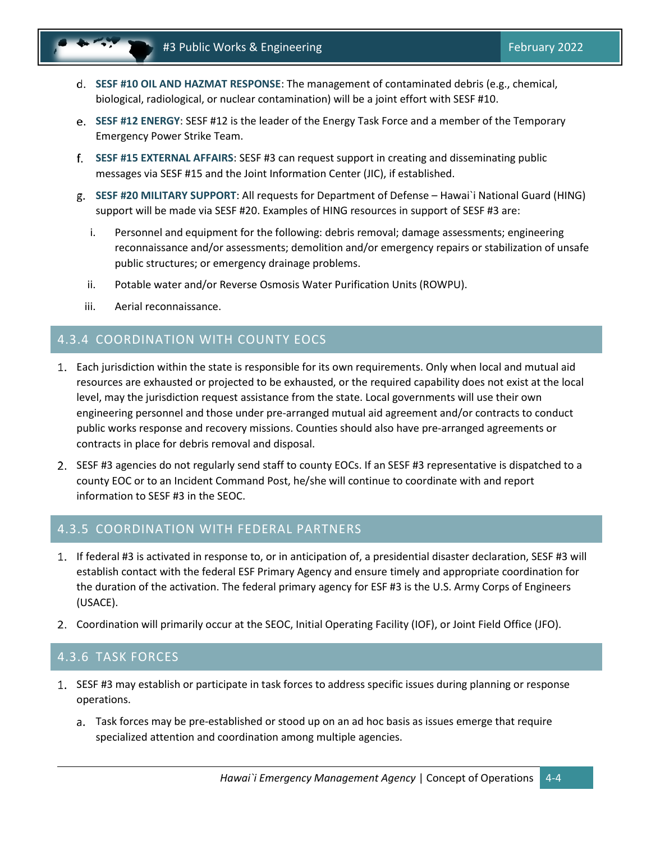- **SESF #10 OIL AND HAZMAT RESPONSE**: The management of contaminated debris (e.g., chemical, biological, radiological, or nuclear contamination) will be a joint effort with SESF #10.
- **SESF #12 ENERGY**: SESF #12 is the leader of the Energy Task Force and a member of the Temporary Emergency Power Strike Team.
- **SESF #15 EXTERNAL AFFAIRS**: SESF #3 can request support in creating and disseminating public messages via SESF #15 and the Joint Information Center (JIC), if established.
- **SESF #20 MILITARY SUPPORT**: All requests for Department of Defense Hawai`i National Guard (HING) support will be made via SESF #20. Examples of HING resources in support of SESF #3 are:
	- i. Personnel and equipment for the following: debris removal; damage assessments; engineering reconnaissance and/or assessments; demolition and/or emergency repairs or stabilization of unsafe public structures; or emergency drainage problems.
	- ii. Potable water and/or Reverse Osmosis Water Purification Units (ROWPU).
	- iii. Aerial reconnaissance.

#### 4.3.4 COORDINATION WITH COUNTY EOCS

- Each jurisdiction within the state is responsible for its own requirements. Only when local and mutual aid resources are exhausted or projected to be exhausted, or the required capability does not exist at the local level, may the jurisdiction request assistance from the state. Local governments will use their own engineering personnel and those under pre‐arranged mutual aid agreement and/or contracts to conduct public works response and recovery missions. Counties should also have pre‐arranged agreements or contracts in place for debris removal and disposal.
- 2. SESF #3 agencies do not regularly send staff to county EOCs. If an SESF #3 representative is dispatched to a county EOC or to an Incident Command Post, he/she will continue to coordinate with and report information to SESF #3 in the SEOC.

#### 4.3.5 COORDINATION WITH FEDERAL PARTNERS

- If federal #3 is activated in response to, or in anticipation of, a presidential disaster declaration, SESF #3 will establish contact with the federal ESF Primary Agency and ensure timely and appropriate coordination for the duration of the activation. The federal primary agency for ESF #3 is the U.S. Army Corps of Engineers (USACE).
- Coordination will primarily occur at the SEOC, Initial Operating Facility (IOF), or Joint Field Office (JFO).

#### 4.3.6 TASK FORCES

- 1. SESF #3 may establish or participate in task forces to address specific issues during planning or response operations.
	- Task forces may be pre‐established or stood up on an ad hoc basis as issues emerge that require specialized attention and coordination among multiple agencies.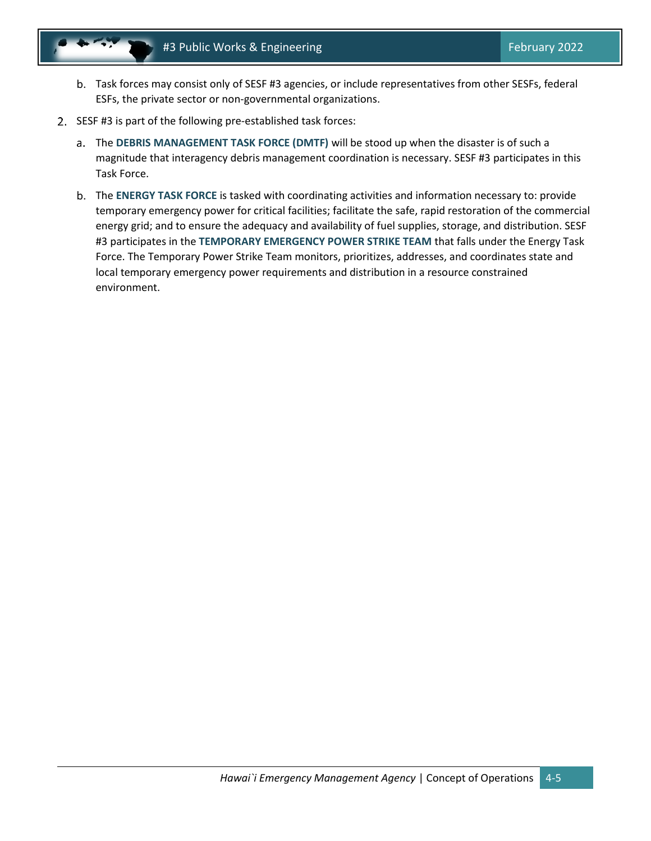- Task forces may consist only of SESF #3 agencies, or include representatives from other SESFs, federal ESFs, the private sector or non‐governmental organizations.
- 2. SESF #3 is part of the following pre-established task forces:
	- The **DEBRIS MANAGEMENT TASK FORCE (DMTF)** will be stood up when the disaster is of such a magnitude that interagency debris management coordination is necessary. SESF #3 participates in this Task Force.
	- The **ENERGY TASK FORCE** is tasked with coordinating activities and information necessary to: provide temporary emergency power for critical facilities; facilitate the safe, rapid restoration of the commercial energy grid; and to ensure the adequacy and availability of fuel supplies, storage, and distribution. SESF #3 participates in the **TEMPORARY EMERGENCY POWER STRIKE TEAM** that falls under the Energy Task Force. The Temporary Power Strike Team monitors, prioritizes, addresses, and coordinates state and local temporary emergency power requirements and distribution in a resource constrained environment.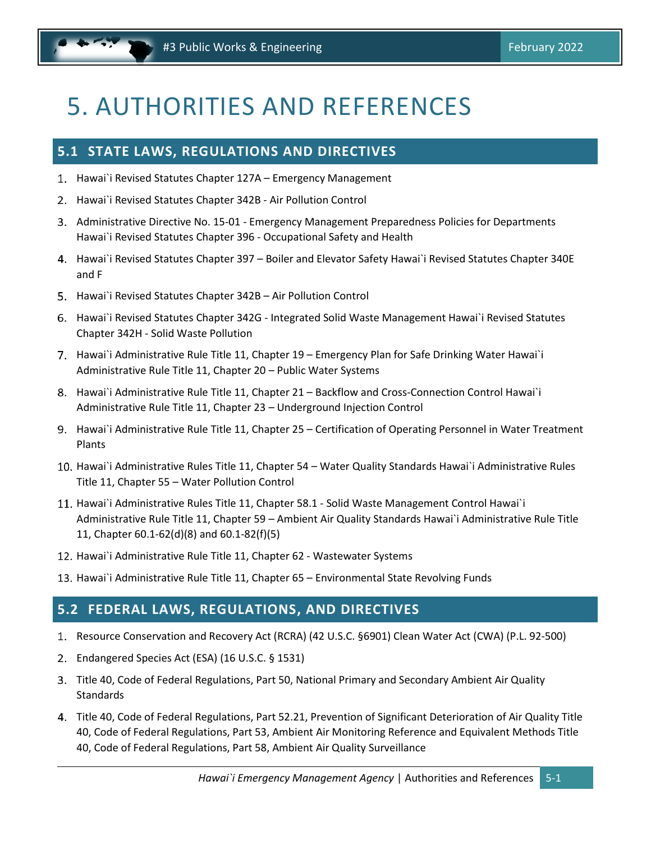# <span id="page-20-0"></span>5. AUTHORITIES AND REFERENCES

### <span id="page-20-1"></span>**5.1 STATE LAWS, REGULATIONS AND DIRECTIVES**

- 1. Hawai`i Revised Statutes Chapter 127A Emergency Management
- 2. Hawai`i Revised Statutes Chapter 342B Air Pollution Control
- Administrative Directive No. 15‐01 ‐ Emergency Management Preparedness Policies for Departments Hawai`i Revised Statutes Chapter 396 ‐ Occupational Safety and Health
- Hawai`i Revised Statutes Chapter 397 Boiler and Elevator Safety Hawai`i Revised Statutes Chapter 340E and F
- 5. Hawai`i Revised Statutes Chapter 342B Air Pollution Control
- Hawai`i Revised Statutes Chapter 342G ‐ Integrated Solid Waste Management Hawai`i Revised Statutes Chapter 342H ‐ Solid Waste Pollution
- 7. Hawai`i Administrative Rule Title 11, Chapter 19 Emergency Plan for Safe Drinking Water Hawai`i Administrative Rule Title 11, Chapter 20 – Public Water Systems
- 8. Hawai`i Administrative Rule Title 11, Chapter 21 Backflow and Cross-Connection Control Hawai`i Administrative Rule Title 11, Chapter 23 – Underground Injection Control
- 9. Hawai`i Administrative Rule Title 11, Chapter 25 Certification of Operating Personnel in Water Treatment Plants
- 10. Hawai`i Administrative Rules Title 11, Chapter 54 Water Quality Standards Hawai`i Administrative Rules Title 11, Chapter 55 – Water Pollution Control
- 11. Hawai`i Administrative Rules Title 11, Chapter 58.1 Solid Waste Management Control Hawai`i Administrative Rule Title 11, Chapter 59 – Ambient Air Quality Standards Hawai`i Administrative Rule Title 11, Chapter 60.1‐62(d)(8) and 60.1‐82(f)(5)
- 12. Hawai`i Administrative Rule Title 11, Chapter 62 Wastewater Systems
- 13. Hawai`i Administrative Rule Title 11, Chapter 65 Environmental State Revolving Funds

### <span id="page-20-2"></span>**5.2 FEDERAL LAWS, REGULATIONS, AND DIRECTIVES**

- 1. Resource Conservation and Recovery Act (RCRA) (42 U.S.C. §6901) Clean Water Act (CWA) (P.L. 92-500)
- Endangered Species Act (ESA) (16 U.S.C. § 1531)
- Title 40, Code of Federal Regulations, Part 50, National Primary and Secondary Ambient Air Quality **Standards**
- Title 40, Code of Federal Regulations, Part 52.21, Prevention of Significant Deterioration of Air Quality Title 40, Code of Federal Regulations, Part 53, Ambient Air Monitoring Reference and Equivalent Methods Title 40, Code of Federal Regulations, Part 58, Ambient Air Quality Surveillance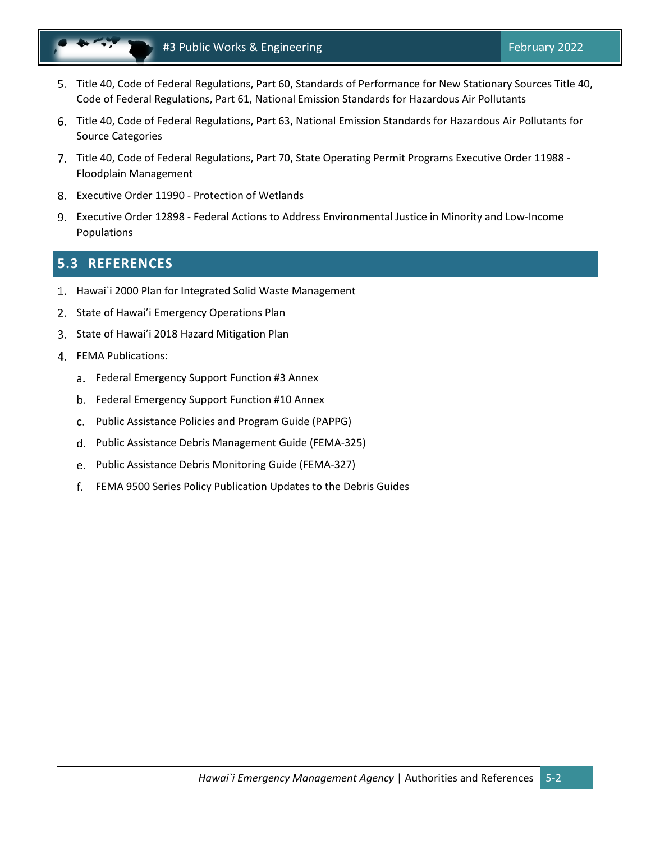

- Title 40, Code of Federal Regulations, Part 60, Standards of Performance for New Stationary Sources Title 40, Code of Federal Regulations, Part 61, National Emission Standards for Hazardous Air Pollutants
- Title 40, Code of Federal Regulations, Part 63, National Emission Standards for Hazardous Air Pollutants for Source Categories
- 7. Title 40, Code of Federal Regulations, Part 70, State Operating Permit Programs Executive Order 11988 -Floodplain Management
- Executive Order 11990 ‐ Protection of Wetlands
- Executive Order 12898 ‐ Federal Actions to Address Environmental Justice in Minority and Low‐Income Populations

# <span id="page-21-0"></span>**5.3 REFERENCES**

- 1. Hawai`i 2000 Plan for Integrated Solid Waste Management
- 2. State of Hawai'i Emergency Operations Plan
- State of Hawai'i 2018 Hazard Mitigation Plan
- FEMA Publications:
	- a. Federal Emergency Support Function #3 Annex
	- b. Federal Emergency Support Function #10 Annex
	- Public Assistance Policies and Program Guide (PAPPG)
	- Public Assistance Debris Management Guide (FEMA‐325)
	- e. Public Assistance Debris Monitoring Guide (FEMA-327)
	- FEMA 9500 Series Policy Publication Updates to the Debris Guides